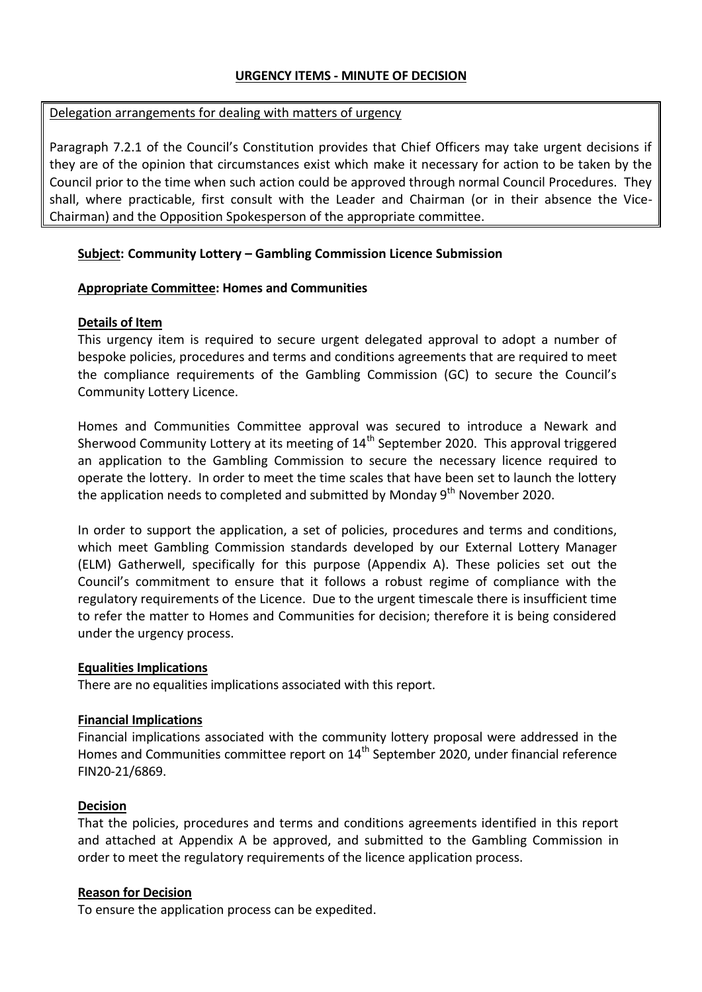### **URGENCY ITEMS - MINUTE OF DECISION**

#### Delegation arrangements for dealing with matters of urgency

Paragraph 7.2.1 of the Council's Constitution provides that Chief Officers may take urgent decisions if they are of the opinion that circumstances exist which make it necessary for action to be taken by the Council prior to the time when such action could be approved through normal Council Procedures. They shall, where practicable, first consult with the Leader and Chairman (or in their absence the Vice-Chairman) and the Opposition Spokesperson of the appropriate committee.

## **Subject: Community Lottery – Gambling Commission Licence Submission**

## **Appropriate Committee: Homes and Communities**

## **Details of Item**

This urgency item is required to secure urgent delegated approval to adopt a number of bespoke policies, procedures and terms and conditions agreements that are required to meet the compliance requirements of the Gambling Commission (GC) to secure the Council's Community Lottery Licence.

Homes and Communities Committee approval was secured to introduce a Newark and Sherwood Community Lottery at its meeting of  $14<sup>th</sup>$  September 2020. This approval triggered an application to the Gambling Commission to secure the necessary licence required to operate the lottery. In order to meet the time scales that have been set to launch the lottery the application needs to completed and submitted by Monday  $9<sup>th</sup>$  November 2020.

In order to support the application, a set of policies, procedures and terms and conditions, which meet Gambling Commission standards developed by our External Lottery Manager (ELM) Gatherwell, specifically for this purpose (Appendix A). These policies set out the Council's commitment to ensure that it follows a robust regime of compliance with the regulatory requirements of the Licence. Due to the urgent timescale there is insufficient time to refer the matter to Homes and Communities for decision; therefore it is being considered under the urgency process.

#### **Equalities Implications**

There are no equalities implications associated with this report.

# **Financial Implications**

Financial implications associated with the community lottery proposal were addressed in the Homes and Communities committee report on 14<sup>th</sup> September 2020, under financial reference FIN20-21/6869.

# **Decision**

That the policies, procedures and terms and conditions agreements identified in this report and attached at Appendix A be approved, and submitted to the Gambling Commission in order to meet the regulatory requirements of the licence application process.

# **Reason for Decision**

To ensure the application process can be expedited.